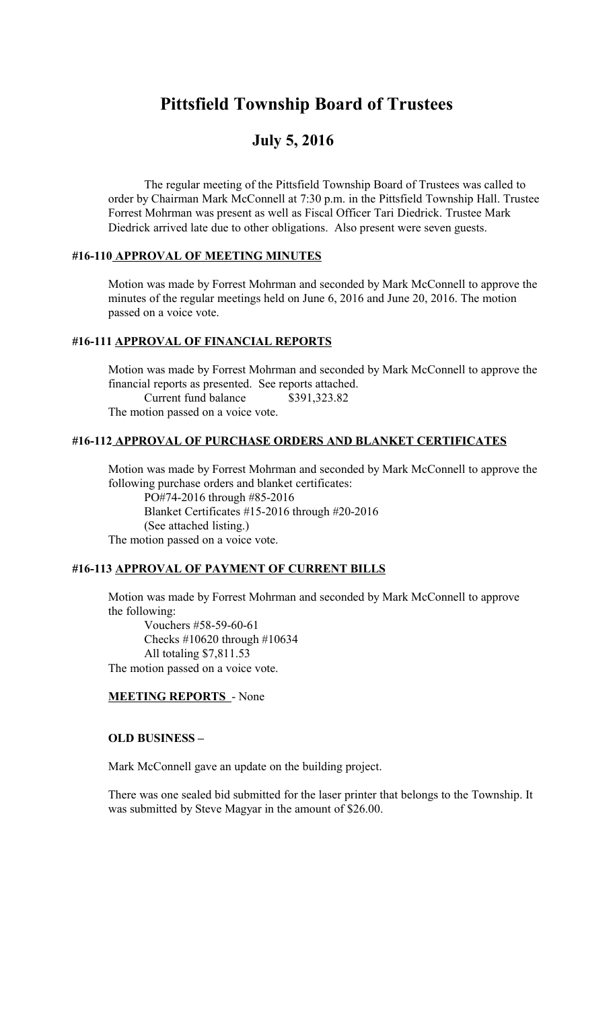# **Pittsfield Township Board of Trustees**

## **July 5, 2016**

The regular meeting of the Pittsfield Township Board of Trustees was called to order by Chairman Mark McConnell at 7:30 p.m. in the Pittsfield Township Hall. Trustee Forrest Mohrman was present as well as Fiscal Officer Tari Diedrick. Trustee Mark Diedrick arrived late due to other obligations. Also present were seven guests.

#### **#16-110 APPROVAL OF MEETING MINUTES**

Motion was made by Forrest Mohrman and seconded by Mark McConnell to approve the minutes of the regular meetings held on June 6, 2016 and June 20, 2016. The motion passed on a voice vote.

#### **#16-111 APPROVAL OF FINANCIAL REPORTS**

Motion was made by Forrest Mohrman and seconded by Mark McConnell to approve the financial reports as presented. See reports attached. Current fund balance \$391,323.82 The motion passed on a voice vote.

#### **#16-112 APPROVAL OF PURCHASE ORDERS AND BLANKET CERTIFICATES**

Motion was made by Forrest Mohrman and seconded by Mark McConnell to approve the following purchase orders and blanket certificates: PO#74-2016 through #85-2016

Blanket Certificates #15-2016 through #20-2016 (See attached listing.)

The motion passed on a voice vote.

#### **#16-113 APPROVAL OF PAYMENT OF CURRENT BILLS**

Motion was made by Forrest Mohrman and seconded by Mark McConnell to approve the following:

 Vouchers #58-59-60-61 Checks #10620 through #10634 All totaling \$7,811.53 The motion passed on a voice vote.

#### **MEETING REPORTS** - None

#### **OLD BUSINESS –**

Mark McConnell gave an update on the building project.

There was one sealed bid submitted for the laser printer that belongs to the Township. It was submitted by Steve Magyar in the amount of \$26.00.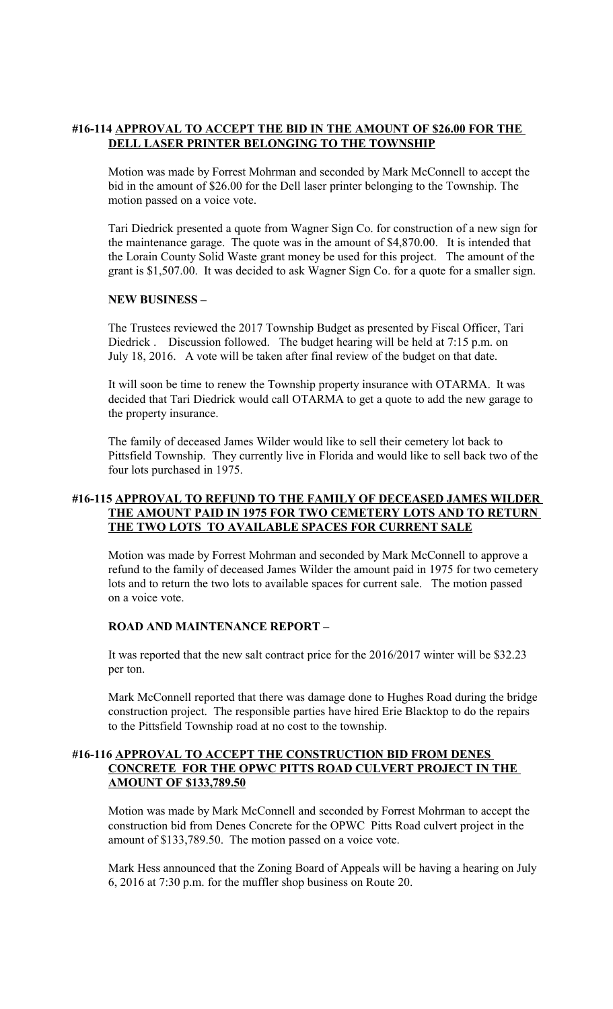#### **#16-114 APPROVAL TO ACCEPT THE BID IN THE AMOUNT OF \$26.00 FOR THE DELL LASER PRINTER BELONGING TO THE TOWNSHIP**

Motion was made by Forrest Mohrman and seconded by Mark McConnell to accept the bid in the amount of \$26.00 for the Dell laser printer belonging to the Township. The motion passed on a voice vote.

Tari Diedrick presented a quote from Wagner Sign Co. for construction of a new sign for the maintenance garage. The quote was in the amount of \$4,870.00. It is intended that the Lorain County Solid Waste grant money be used for this project. The amount of the grant is \$1,507.00. It was decided to ask Wagner Sign Co. for a quote for a smaller sign.

#### **NEW BUSINESS –**

The Trustees reviewed the 2017 Township Budget as presented by Fiscal Officer, Tari Diedrick . Discussion followed. The budget hearing will be held at 7:15 p.m. on July 18, 2016. A vote will be taken after final review of the budget on that date.

It will soon be time to renew the Township property insurance with OTARMA. It was decided that Tari Diedrick would call OTARMA to get a quote to add the new garage to the property insurance.

The family of deceased James Wilder would like to sell their cemetery lot back to Pittsfield Township. They currently live in Florida and would like to sell back two of the four lots purchased in 1975.

#### **#16-115 APPROVAL TO REFUND TO THE FAMILY OF DECEASED JAMES WILDER THE AMOUNT PAID IN 1975 FOR TWO CEMETERY LOTS AND TO RETURN THE TWO LOTS TO AVAILABLE SPACES FOR CURRENT SALE**

Motion was made by Forrest Mohrman and seconded by Mark McConnell to approve a refund to the family of deceased James Wilder the amount paid in 1975 for two cemetery lots and to return the two lots to available spaces for current sale. The motion passed on a voice vote.

#### **ROAD AND MAINTENANCE REPORT –**

It was reported that the new salt contract price for the 2016/2017 winter will be \$32.23 per ton.

Mark McConnell reported that there was damage done to Hughes Road during the bridge construction project. The responsible parties have hired Erie Blacktop to do the repairs to the Pittsfield Township road at no cost to the township.

#### **#16-116 APPROVAL TO ACCEPT THE CONSTRUCTION BID FROM DENES CONCRETE FOR THE OPWC PITTS ROAD CULVERT PROJECT IN THE AMOUNT OF \$133,789.50**

Motion was made by Mark McConnell and seconded by Forrest Mohrman to accept the construction bid from Denes Concrete for the OPWC Pitts Road culvert project in the amount of \$133,789.50. The motion passed on a voice vote.

Mark Hess announced that the Zoning Board of Appeals will be having a hearing on July 6, 2016 at 7:30 p.m. for the muffler shop business on Route 20.